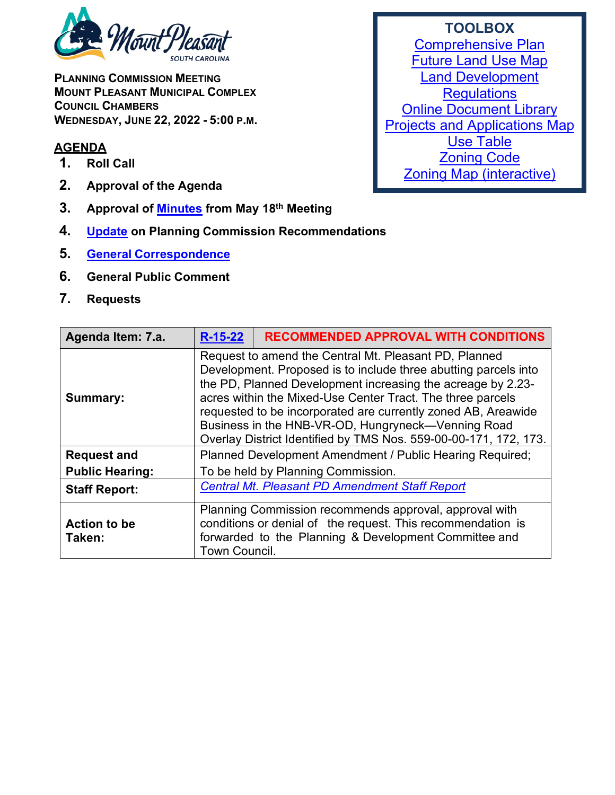

**PLANNING COMMISSION MEETING MOUNT PLEASANT MUNICIPAL COMPLEX COUNCIL CHAMBERS WEDNESDAY, JUNE 22, 2022 - 5:00 P.M.**

## **AGENDA**

- **1. Roll Call**
- **2. Approval of the Agenda**
- **3. Approval of [Minutes](https://www.tompsc.com/DocumentCenter/View/41993/Plan-Comsn-min-18-May-2022_exppdf) from May 18th Meeting**
- **4. [Update](https://www.tompsc.com/DocumentCenter/View/41995/June-TOWN-COUNCIL-DECISIONS) on Planning Commission Recommendations**
- **5. General [Correspondence](https://www.tompsc.com/DocumentCenter/View/41994/Correspondence-DOC)**
- **6. General Public Comment**
- **7. Requests**

| Agenda Item: 7.a.             | $R-15-22$                                                                                                                                                                                                                                                                                                                                                                                                                                        | <b>RECOMMENDED APPROVAL WITH CONDITIONS</b>                                                                                                                                    |
|-------------------------------|--------------------------------------------------------------------------------------------------------------------------------------------------------------------------------------------------------------------------------------------------------------------------------------------------------------------------------------------------------------------------------------------------------------------------------------------------|--------------------------------------------------------------------------------------------------------------------------------------------------------------------------------|
| <b>Summary:</b>               | Request to amend the Central Mt. Pleasant PD, Planned<br>Development. Proposed is to include three abutting parcels into<br>the PD, Planned Development increasing the acreage by 2.23-<br>acres within the Mixed-Use Center Tract. The three parcels<br>requested to be incorporated are currently zoned AB, Areawide<br>Business in the HNB-VR-OD, Hungryneck-Venning Road<br>Overlay District Identified by TMS Nos. 559-00-00-171, 172, 173. |                                                                                                                                                                                |
| <b>Request and</b>            | Planned Development Amendment / Public Hearing Required;                                                                                                                                                                                                                                                                                                                                                                                         |                                                                                                                                                                                |
| <b>Public Hearing:</b>        | To be held by Planning Commission.                                                                                                                                                                                                                                                                                                                                                                                                               |                                                                                                                                                                                |
| <b>Staff Report:</b>          |                                                                                                                                                                                                                                                                                                                                                                                                                                                  | <b>Central Mt. Pleasant PD Amendment Staff Report</b>                                                                                                                          |
| <b>Action to be</b><br>Taken: | <b>Town Council.</b>                                                                                                                                                                                                                                                                                                                                                                                                                             | Planning Commission recommends approval, approval with<br>conditions or denial of the request. This recommendation is<br>forwarded to the Planning & Development Committee and |

## **TOOLBOX**

[Comprehensive Plan](https://www.tompsc.com/565/Comprehensive-Plan) [Future Land Use Map](https://www.tompsc.com/DocumentCenter/View/35351/Future-Land-Use) [Land Development](https://codelibrary.amlegal.com/codes/mtpleasantsc/latest/mpleasant_sc/0-0-0-119055)  **[Regulations](https://codelibrary.amlegal.com/codes/mtpleasantsc/latest/mpleasant_sc/0-0-0-119055)** [Online Document Library](http://www.tompsc.com/index.aspx?NID=388) **[Projects and Applications Map](http://www.tompsc.com/index.aspx?nid=472)** [Use Table](https://export.amlegal.com/media/cdf2043fcc7714d3258baf1857df78de1aeb6667/DATAOBJECTS/0-0-0-10726.pdf) **[Zoning Code](https://codelibrary.amlegal.com/codes/mtpleasantsc/latest/mpleasant_sc/0-0-0-120001)** [Zoning Map \(interactive\)](https://tomp.maps.arcgis.com/apps/webappviewer/index.html?id=786bb2a435e54f479b12fb2db31b473d)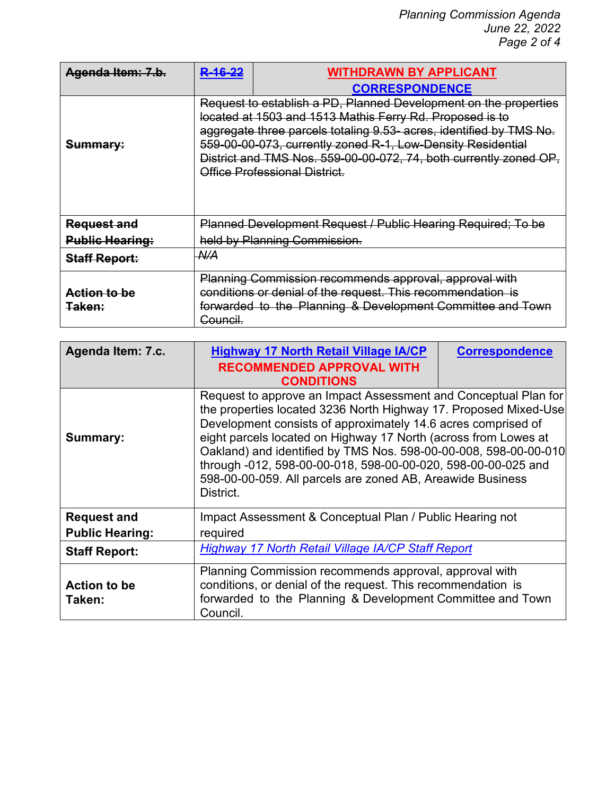*Planning Commission Agenda June 22, 2022 Page 2 of 4*

| Agenda Item: 7.b.                        | R-16-22         | <b>WITHDRAWN BY APPLICANT</b>                                                                                                                                                                                                                                                                                                                                            |
|------------------------------------------|-----------------|--------------------------------------------------------------------------------------------------------------------------------------------------------------------------------------------------------------------------------------------------------------------------------------------------------------------------------------------------------------------------|
|                                          |                 | <b>CORRESPONDENCE</b>                                                                                                                                                                                                                                                                                                                                                    |
| Summary:                                 |                 | Request to establish a PD, Planned Development on the properties<br>located at 1503 and 1513 Mathis Ferry Rd. Proposed is to<br>aggregate three parcels totaling 9.53- acres, identified by TMS No.<br>559-00-00-073, currently zoned R-1, Low-Density Residential<br>District and TMS Nos. 559-00-00-072, 74, both currently zoned OP,<br>Office Professional District. |
| <b>Request and</b>                       |                 | Planned Development Request / Public Hearing Required; To be                                                                                                                                                                                                                                                                                                             |
| <b>Public Hearing:</b>                   |                 | held by Planning Commission.                                                                                                                                                                                                                                                                                                                                             |
| <b>Staff Report:</b>                     | $A\mathcal{U}A$ |                                                                                                                                                                                                                                                                                                                                                                          |
| <u>Action to be</u><br><del>Taken:</del> | Council.        | Planning Commission recommends approval, approval with<br>conditions or denial of the request. This recommendation is<br>forwarded to the Planning & Development Committee and Town                                                                                                                                                                                      |

| Agenda Item: 7.c.             | <b>Highway 17 North Retail Village IA/CP</b><br><b>RECOMMENDED APPROVAL WITH</b>                                                                                                                                                                                                                                                                                                                                                                                                        | <b>Correspondence</b> |
|-------------------------------|-----------------------------------------------------------------------------------------------------------------------------------------------------------------------------------------------------------------------------------------------------------------------------------------------------------------------------------------------------------------------------------------------------------------------------------------------------------------------------------------|-----------------------|
|                               | <b>CONDITIONS</b>                                                                                                                                                                                                                                                                                                                                                                                                                                                                       |                       |
| Summary:                      | Request to approve an Impact Assessment and Conceptual Plan for<br>the properties located 3236 North Highway 17. Proposed Mixed-Use<br>Development consists of approximately 14.6 acres comprised of<br>eight parcels located on Highway 17 North (across from Lowes at<br>Oakland) and identified by TMS Nos. 598-00-00-008, 598-00-00-010<br>through -012, 598-00-00-018, 598-00-00-020, 598-00-00-025 and<br>598-00-00-059. All parcels are zoned AB, Areawide Business<br>District. |                       |
| <b>Request and</b>            | Impact Assessment & Conceptual Plan / Public Hearing not                                                                                                                                                                                                                                                                                                                                                                                                                                |                       |
| <b>Public Hearing:</b>        | required                                                                                                                                                                                                                                                                                                                                                                                                                                                                                |                       |
| <b>Staff Report:</b>          | <b>Highway 17 North Retail Village IA/CP Staff Report</b>                                                                                                                                                                                                                                                                                                                                                                                                                               |                       |
| <b>Action to be</b><br>Taken: | Planning Commission recommends approval, approval with<br>conditions, or denial of the request. This recommendation is<br>forwarded to the Planning & Development Committee and Town<br>Council.                                                                                                                                                                                                                                                                                        |                       |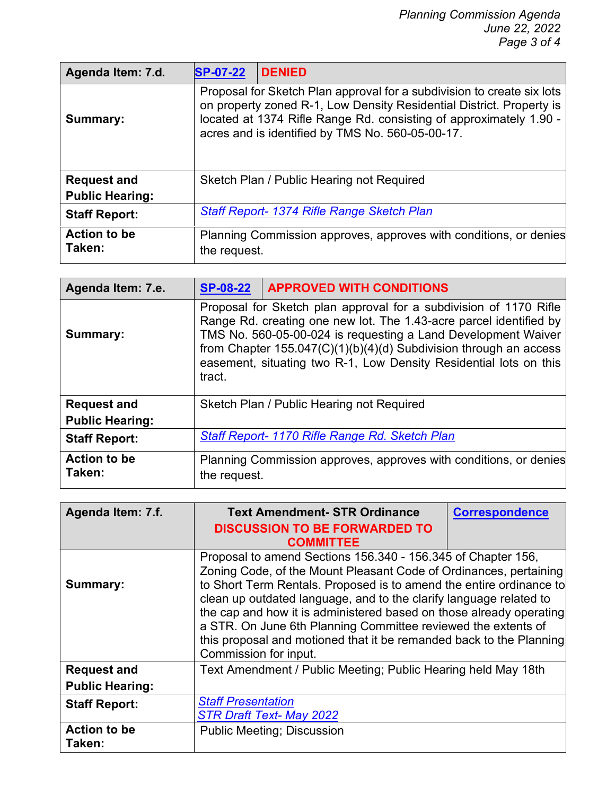| Agenda Item: 7.d.                            | <b>SP-07-22</b> | <b>DENIED</b>                                                                                                                                                                                                                                                            |
|----------------------------------------------|-----------------|--------------------------------------------------------------------------------------------------------------------------------------------------------------------------------------------------------------------------------------------------------------------------|
| Summary:                                     |                 | Proposal for Sketch Plan approval for a subdivision to create six lots<br>on property zoned R-1, Low Density Residential District. Property is<br>located at 1374 Rifle Range Rd. consisting of approximately 1.90 -<br>acres and is identified by TMS No. 560-05-00-17. |
| <b>Request and</b><br><b>Public Hearing:</b> |                 | Sketch Plan / Public Hearing not Required                                                                                                                                                                                                                                |
| <b>Staff Report:</b>                         |                 | <b>Staff Report- 1374 Rifle Range Sketch Plan</b>                                                                                                                                                                                                                        |
| <b>Action to be</b><br>Taken:                | the request.    | Planning Commission approves, approves with conditions, or denies                                                                                                                                                                                                        |

| Agenda Item: 7.e.                            | <b>SP-08-22</b>                                                                                                                                                                                                                                                                                                                                                | <b>APPROVED WITH CONDITIONS</b>                                   |
|----------------------------------------------|----------------------------------------------------------------------------------------------------------------------------------------------------------------------------------------------------------------------------------------------------------------------------------------------------------------------------------------------------------------|-------------------------------------------------------------------|
| Summary:                                     | Proposal for Sketch plan approval for a subdivision of 1170 Rifle<br>Range Rd. creating one new lot. The 1.43-acre parcel identified by<br>TMS No. 560-05-00-024 is requesting a Land Development Waiver<br>from Chapter $155.047(C)(1)(b)(4)(d)$ Subdivision through an access<br>easement, situating two R-1, Low Density Residential lots on this<br>tract. |                                                                   |
| <b>Request and</b><br><b>Public Hearing:</b> |                                                                                                                                                                                                                                                                                                                                                                | Sketch Plan / Public Hearing not Required                         |
| <b>Staff Report:</b>                         |                                                                                                                                                                                                                                                                                                                                                                | Staff Report-1170 Rifle Range Rd. Sketch Plan                     |
| <b>Action to be</b><br>Taken:                | the request.                                                                                                                                                                                                                                                                                                                                                   | Planning Commission approves, approves with conditions, or denies |

| Agenda Item: 7.f.             | <b>Text Amendment-STR Ordinance</b>                                                                                                                                                                                                                                                                                                                                                                                                                                                                                    | <b>Correspondence</b> |
|-------------------------------|------------------------------------------------------------------------------------------------------------------------------------------------------------------------------------------------------------------------------------------------------------------------------------------------------------------------------------------------------------------------------------------------------------------------------------------------------------------------------------------------------------------------|-----------------------|
|                               | <b>DISCUSSION TO BE FORWARDED TO</b><br><b>COMMITTEE</b>                                                                                                                                                                                                                                                                                                                                                                                                                                                               |                       |
| Summary:                      | Proposal to amend Sections 156.340 - 156.345 of Chapter 156,<br>Zoning Code, of the Mount Pleasant Code of Ordinances, pertaining<br>to Short Term Rentals. Proposed is to amend the entire ordinance to<br>clean up outdated language, and to the clarify language related to<br>the cap and how it is administered based on those already operating<br>a STR. On June 6th Planning Committee reviewed the extents of<br>this proposal and motioned that it be remanded back to the Planning<br>Commission for input. |                       |
| <b>Request and</b>            | Text Amendment / Public Meeting; Public Hearing held May 18th                                                                                                                                                                                                                                                                                                                                                                                                                                                          |                       |
| <b>Public Hearing:</b>        |                                                                                                                                                                                                                                                                                                                                                                                                                                                                                                                        |                       |
| <b>Staff Report:</b>          | <b>Staff Presentation</b><br><b>STR Draft Text- May 2022</b>                                                                                                                                                                                                                                                                                                                                                                                                                                                           |                       |
| <b>Action to be</b><br>Taken: | <b>Public Meeting; Discussion</b>                                                                                                                                                                                                                                                                                                                                                                                                                                                                                      |                       |